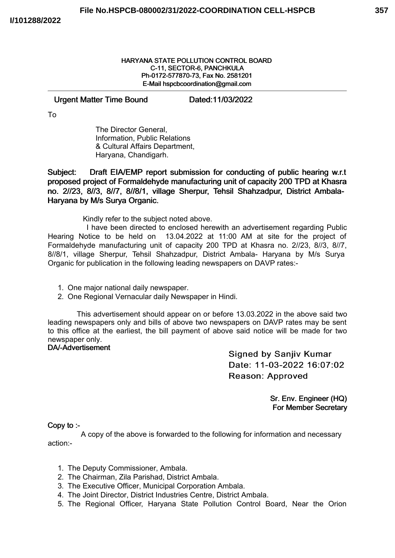#### HARYANA STATE POLLUTION CONTROL BOARD C-11, SECTOR-6, PANCHKULA Ph-0172-577870-73, Fax No. 2581201 E-Mail hspcbcoordination@gmail.com

### Urgent Matter Time Bound Dated:11/03/2022

To

The Director General, Information, Public Relations & Cultural Affairs Department, Haryana, Chandigarh.

Subject: Draft EIA/EMP report submission for conducting of public hearing w.r.t proposed project of Formaldehyde manufacturing unit of capacity 200 TPD at Khasra no. 2//23, 8//3, 8//7, 8//8/1, village Sherpur, Tehsil Shahzadpur, District Ambala-Haryana by M/s Surya Organic.

Kindly refer to the subject noted above.

I have been directed to enclosed herewith an advertisement regarding Public Hearing Notice to be held on 13.04.2022 at 11:00 AM at site for the project of Formaldehyde manufacturing unit of capacity 200 TPD at Khasra no. 2//23, 8//3, 8//7, 8//8/1, village Sherpur, Tehsil Shahzadpur, District Ambala- Haryana by M/s Surya Organic for publication in the following leading newspapers on DAVP rates:-

1. One major national daily newspaper.

2. One Regional Vernacular daily Newspaper in Hindi.

This advertisement should appear on or before 13.03.2022 in the above said two leading newspapers only and bills of above two newspapers on DAVP rates may be sent to this office at the earliest, the bill payment of above said notice will be made for two newspaper only.

# DA/-Advertisement

**Signed by Sanjiv Kumar** Date: 11-03-2022 16:07:02 Reason: Approved

> Sr. Env. Engineer (HQ) For Member Secretary

## Copy to :-

A copy of the above is forwarded to the following for information and necessary action:-

- 1. The Deputy Commissioner, Ambala.
- 2. The Chairman, Zila Parishad, District Ambala.
- 3. The Executive Officer, Municipal Corporation Ambala.
- 4. The Joint Director, District Industries Centre, District Ambala.
- 5. The Regional Officer, Haryana State Pollution Control Board, Near the Orion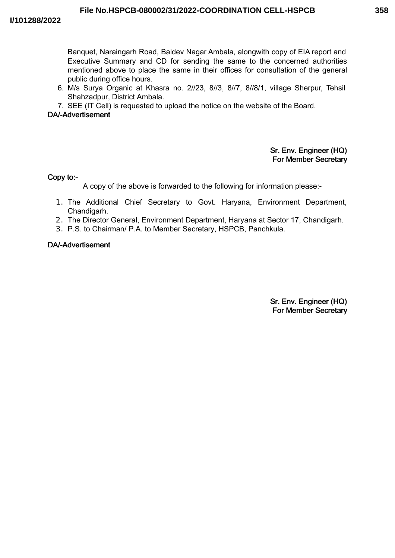Banquet, Naraingarh Road, Baldev Nagar Ambala, alongwith copy of EIA report and Executive Summary and CD for sending the same to the concerned authorities mentioned above to place the same in their offices for consultation of the general public during office hours.

- 6. M/s Surya Organic at Khasra no. 2//23, 8//3, 8//7, 8//8/1, village Sherpur, Tehsil Shahzadpur, District Ambala.
- 7. SEE (IT Cell) is requested to upload the notice on the website of the Board.

# DA/-Advertisement

## Sr. Env. Engineer (HQ) For Member Secretary

Copy to:-

A copy of the above is forwarded to the following for information please:-

- 1. The Additional Chief Secretary to Govt. Haryana, Environment Department, Chandigarh.
- 2. The Director General, Environment Department, Haryana at Sector 17, Chandigarh.
- 3. P.S. to Chairman/ P.A. to Member Secretary, HSPCB, Panchkula.

#### DA/-Advertisement

Sr. Env. Engineer (HQ) For Member Secretary